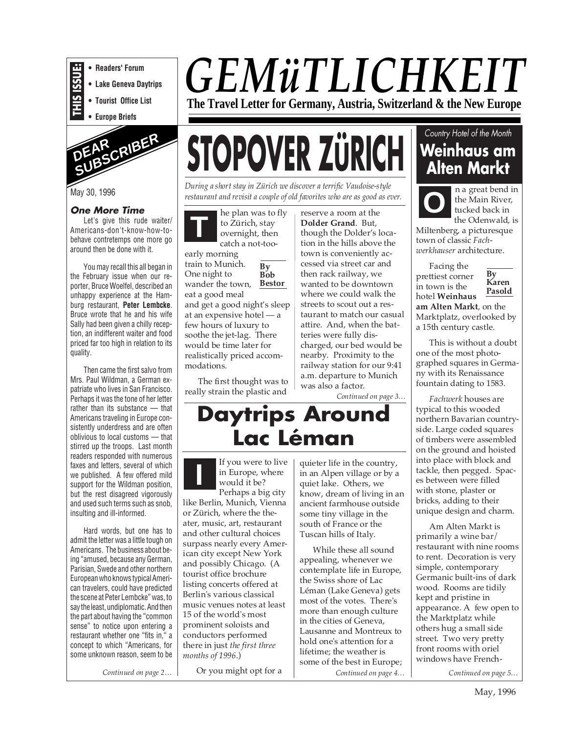

**• Readers' Forum**

- **Lake Geneva Daytrips**
- **Tourist Office List**

**• Europe Briefs**



May 30, 1996

#### **One More Time**

Let's give this rude waiter/ Americans-don't-know-how-tobehave contretemps one more go around then be done with it.

You may recall this all began in the February issue when our reporter, Bruce Woelfel, described an unhappy experience at the Hamburg restaurant, **Peter Lembcke**. Bruce wrote that he and his wife Sally had been given a chilly reception, an indifferent waiter and food priced far too high in relation to its quality.

Then came the first salvo from Mrs. Paul Wildman, a German expatriate who lives in San Francisco. Perhaps it was the tone of her letter rather than its substance — that Americans traveling in Europe consistently underdress and are often oblivious to local customs — that stirred up the troops. Last month readers responded with numerous faxes and letters, several of which we published. A few offered mild support for the Wildman position, but the rest disagreed vigorously and used such terms such as snob, insulting and ill-informed.

Hard words, but one has to admit the letter was a little tough on Americans. The business about being "amused, because any German, Parisian, Swede and other northern European who knows typical American travelers, could have predicted the scene at Peter Lembcke" was, to say the least, undiplomatic. And then the part about having the "common sense" to notice upon entering a restaurant whether one "fits in," a concept to which "Americans, for some unknown reason, seem to be

# *GEMüTLICHKEIT*

**The Travel Letter for Germany, Austria, Switzerland & the New Europe**

# **STOPOVER ZÜRICH**

*During a short stay in Zürich we discover a terrific Vaudoise-style restaurant and revisit a couple of old favorites who are as good as ever.*

**By**  $\overline{B}^{\prime}$ <sub>O</sub><sub>b</sub> **Bestor** he plan was to fly to Zürich, stay overnight, then catch a not-tooearly morning train to Munich. One night to wander the town, eat a good meal and get a good night's sleep at an expensive hotel — a few hours of luxury to soothe the jet-lag. There would be time later for realistically priced accommodations. **T**

The first thought was to really strain the plastic and

reserve a room at the **Dolder Grand**. But, though the Dolder's location in the hills above the town is conveniently accessed via street car and then rack railway, we wanted to be downtown where we could walk the streets to scout out a restaurant to match our casual attire. And, when the batteries were fully discharged, our bed would be nearby. Proximity to the railway station for our 9:41 a.m. departure to Munich was also a factor.

*Continued on page 3…*

## **Daytrips Around Lac Léman**

**I** If you were to live<br>in Europe, where<br>would it be? in Europe, where would it be? Perhaps a big city like Berlin, Munich, Vienna or Zürich, where the theater, music, art, restaurant and other cultural choices surpass nearly every American city except New York and possibly Chicago. (A tourist office brochure listing concerts offered at Berlin's various classical music venues notes at least 15 of the world's most prominent soloists and conductors performed there in just *the first three months of 1996*.)

quieter life in the country, in an Alpen village or by a quiet lake. Others, we know, dream of living in an ancient farmhouse outside some tiny village in the south of France or the Tuscan hills of Italy.

Or you might opt for a *Continued on page 2… Continued on page 4… Continued on page 5…* While these all sound appealing, whenever we contemplate life in Europe, the Swiss shore of Lac Léman (Lake Geneva) gets most of the votes. There's more than enough culture in the cities of Geneva, Lausanne and Montreux to hold one's attention for a lifetime; the weather is some of the best in Europe;

#### Country Hotel of the Month

### **Weinhaus am Alten Markt**

**O**

n a great bend in the Main River, tucked back in the Odenwald, is

Miltenberg, a picturesque town of classic *Fachwerkhauser* architecture.

Facing the prettiest corner in town is the hotel **Weinhaus am Alten Markt**, on the Marktplatz, overlooked by

a 15th century castle.

This is without a doubt one of the most photographed squares in Germany with its Renaissance fountain dating to 1583.

*Fachwerk* houses are typical to this wooded northern Bavarian countryside. Large coded squares of timbers were assembled on the ground and hoisted into place with block and tackle, then pegged. Spaces between were filled with stone, plaster or bricks, adding to their unique design and charm.

Am Alten Markt is primarily a wine bar/ restaurant with nine rooms to rent. Decoration is very simple, contemporary Germanic built-ins of dark wood. Rooms are tidily kept and pristine in appearance. A few open to the Marktplatz while others hug a small side street. Two very pretty front rooms with oriel windows have French-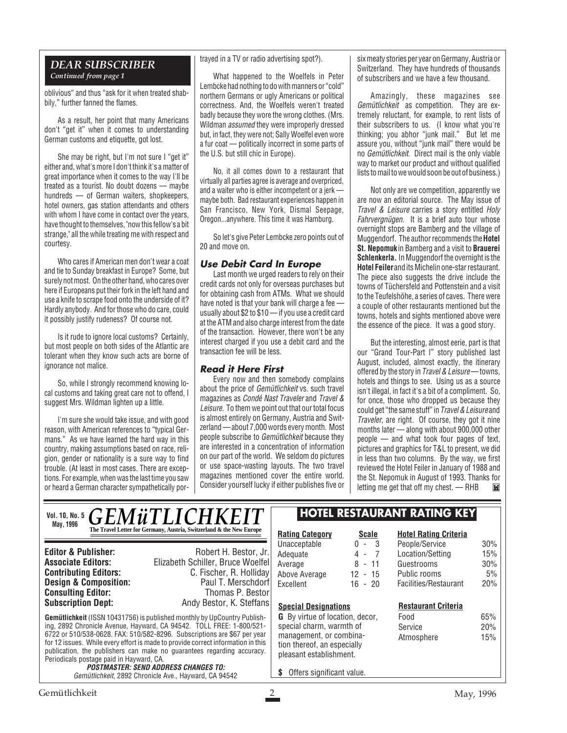#### *DEAR SUBSCRIBER Continued from page 1*

oblivious" and thus "ask for it when treated shabbily," further fanned the flames.

As a result, her point that many Americans don't "get it" when it comes to understanding German customs and etiquette, got lost.

She may be right, but I'm not sure I "get it" either and, what's more I don't think it's a matter of great importance when it comes to the way I'll be treated as a tourist. No doubt dozens — maybe hundreds — of German waiters, shopkeepers, hotel owners, gas station attendants and others with whom I have come in contact over the years, have thought to themselves, "now this fellow's a bit strange," all the while treating me with respect and courtesy.

Who cares if American men don't wear a coat and tie to Sunday breakfast in Europe? Some, but surely not most. On the other hand, who cares over here if Europeans put their fork in the left hand and use a knife to scrape food onto the underside of it? Hardly anybody. And for those who do care, could it possibly justify rudeness? Of course not.

Is it rude to ignore local customs? Certainly, but most people on both sides of the Atlantic are tolerant when they know such acts are borne of ignorance not malice.

So, while I strongly recommend knowing local customs and taking great care not to offend, I suggest Mrs. Wildman lighten up a little.

I'm sure she would take issue, and with good reason, with American references to "typical Germans." As we have learned the hard way in this country, making assumptions based on race, religion, gender or nationality is a sure way to find trouble. (At least in most cases. There are exceptions. For example, when was the last time you saw or heard a German character sympathetically portrayed in a TV or radio advertising spot?).

What happened to the Woelfels in Peter Lembcke had nothing to do with manners or "cold" northern Germans or ugly Americans or political correctness. And, the Woelfels weren't treated badly because they wore the wrong clothes. (Mrs. Wildman *assumed* they were improperly dressed but, in fact, they were not; Sally Woelfel even wore a fur coat — politically incorrect in some parts of the U.S. but still chic in Europe).

No, it all comes down to a restaurant that virtually all parties agree is average and overpriced, and a waiter who is either incompetent or a jerk maybe both. Bad restaurant experiences happen in San Francisco, New York, Dismal Seepage, Oregon...anywhere. This time it was Hamburg.

So let's give Peter Lembcke zero points out of 20 and move on.

#### **Use Debit Card In Europe**

Last month we urged readers to rely on their credit cards not only for overseas purchases but for obtaining cash from ATMs. What we should have noted is that your bank will charge a fee usually about \$2 to \$10 — if you use a credit card at the ATM and also charge interest from the date of the transaction. However, there won't be any interest charged if you use a debit card and the transaction fee will be less.

#### **Read it Here First**

Every now and then somebody complains about the price of Gemütlichkeit vs. such travel magazines as Condé Nast Traveler and Travel & Leisure. To them we point out that our total focus is almost entirely on Germany, Austria and Switzerland — about 7,000 words every month. Most people subscribe to Gemütlichkeit because they are interested in a concentration of information on our part of the world. We seldom do pictures or use space-wasting layouts. The two travel magazines mentioned cover the entire world. Consider yourself lucky if either publishes five or six meaty stories per year on Germany, Austria or Switzerland. They have hundreds of thousands of subscribers and we have a few thousand.

Amazingly, these magazines see Gemütlichkeit as competition. They are extremely reluctant, for example, to rent lists of their subscribers to us. (I know what you're thinking; you abhor "junk mail." But let me assure you, without "junk mail" there would be no Gemütlichkeit. Direct mail is the only viable way to market our product and without qualified lists to mail to we would soon be out of business.)

Not only are we competition, apparently we are now an editorial source. The May issue of Travel & Leisure carries a story entitled Holy Fahrvergnügen. It is a brief auto tour whose overnight stops are Bamberg and the village of Muggendorf. The author recommends the **Hotel St. Nepomuk**in Bamberg and a visit to **Brauerei Schlenkerla.** In Muggendorf the overnight is the **Hotel Feiler** and its Michelin one-star restaurant. The piece also suggests the drive include the towns of Tüchersfeld and Pottenstein and a visit to the Teufelshöhe, a series of caves. There were a couple of other restaurants mentioned but the towns, hotels and sights mentioned above were the essence of the piece. It was a good story.

But the interesting, almost eerie, part is that our "Grand Tour-Part I" story published last August, included, almost exactly, the itinerary offered by the story in Travel & Leisure— towns, hotels and things to see. Using us as a source isn't illegal, in fact it's a bit of a compliment. So, for once, those who dropped us because they could get "the same stuff" in Travel & Leisure and Traveler, are right. Of course, they got it nine months later — along with about 900,000 other people — and what took four pages of text, pictures and graphics for T&L to present, we did in less than two columns. By the way, we first reviewed the Hotel Feiler in January of 1988 and the St. Nepomuk in August of 1993. Thanks for letting me get that off my chest. — RHBĬ.

| <b>GEMÜTLICHKEIT</b><br><b>Vol. 10, No. 5</b><br>May, 1996                                       |                                                                      | <b>HOTEL RESTAURANT RATING KEY</b>     |              |                              |     |
|--------------------------------------------------------------------------------------------------|----------------------------------------------------------------------|----------------------------------------|--------------|------------------------------|-----|
|                                                                                                  | The Travel Letter for Germany, Austria, Switzerland & the New Europe | <b>Rating Category</b>                 | <b>Scale</b> | <b>Hotel Rating Criteria</b> |     |
|                                                                                                  |                                                                      | Unacceptable                           | $0 - 3$      | People/Service               | 30% |
| <b>Editor &amp; Publisher:</b>                                                                   | Robert H. Bestor, Jr.                                                | Adequate                               | $4 - 7$      | Location/Setting             | 15% |
| <b>Associate Editors:</b>                                                                        | Elizabeth Schiller, Bruce Woelfel                                    | Average                                | $8 - 11$     | Guestrooms                   | 30% |
| <b>Contributing Editors:</b>                                                                     | C. Fischer, R. Holliday                                              | Above Average                          | $12 - 15$    | Public rooms                 | 5%  |
| <b>Design &amp; Composition:</b>                                                                 | Paul T. Merschdorf                                                   | Excellent                              | $16 - 20$    | Facilities/Restaurant        | 20% |
| <b>Consulting Editor:</b>                                                                        | Thomas P. Bestor                                                     |                                        |              |                              |     |
| <b>Subscription Dept:</b>                                                                        | Andy Bestor, K. Steffans                                             | <b>Special Designations</b>            |              | <b>Restaurant Criteria</b>   |     |
| <b>Gemütlichkeit</b> (ISSN 10431756) is published monthly by UpCountry Publish-                  |                                                                      | <b>G</b> By virtue of location, decor, |              | Food                         | 65% |
| ing, 2892 Chronicle Avenue, Hayward, CA 94542. TOLL FREE: 1-800/521-                             |                                                                      | special charm, warmth of               |              | Service                      | 20% |
| 6722 or 510/538-0628. FAX: 510/582-8296. Subscriptions are \$67 per year                         |                                                                      | management, or combina-                |              | Atmosphere                   | 15% |
| for 12 issues. While every effort is made to provide correct information in this                 |                                                                      | tion thereof, an especially            |              |                              |     |
| publication, the publishers can make no quarantees regarding accuracy.                           |                                                                      | pleasant establishment.                |              |                              |     |
| Periodicals postage paid in Hayward, CA.                                                         |                                                                      |                                        |              |                              |     |
| <b>POSTMASTER: SEND ADDRESS CHANGES TO:</b><br>Camütlichkeit 2802 Chronicle Ave Hawword CA 04542 |                                                                      | Offers significant value.              |              |                              |     |

Gemütlichkeit, 2892 Chronicle Ave., Hayward, CA 94542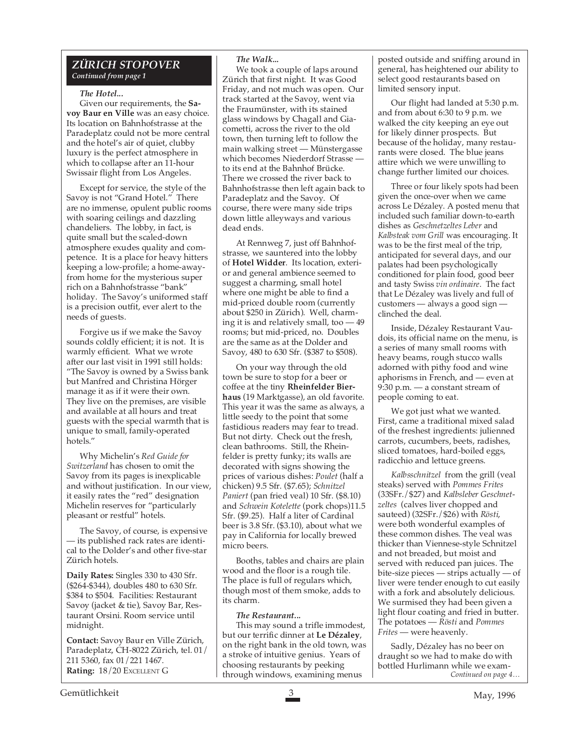#### *ZÜRICH STOPOVER Continued from page 1*

#### *The Hotel...*

Given our requirements, the **Savoy Baur en Ville** was an easy choice. Its location on Bahnhofstrasse at the Paradeplatz could not be more central and the hotel's air of quiet, clubby luxury is the perfect atmosphere in which to collapse after an 11-hour Swissair flight from Los Angeles.

Except for service, the style of the Savoy is not "Grand Hotel." There are no immense, opulent public rooms with soaring ceilings and dazzling chandeliers. The lobby, in fact, is quite small but the scaled-down atmosphere exudes quality and competence. It is a place for heavy hitters keeping a low-profile; a home-awayfrom home for the mysterious super rich on a Bahnhofstrasse "bank" holiday. The Savoy's uniformed staff is a precision outfit, ever alert to the needs of guests.

Forgive us if we make the Savoy sounds coldly efficient; it is not. It is warmly efficient. What we wrote after our last visit in 1991 still holds: "The Savoy is owned by a Swiss bank but Manfred and Christina Hörger manage it as if it were their own. They live on the premises, are visible and available at all hours and treat guests with the special warmth that is unique to small, family-operated hotels."

Why Michelin's *Red Guide for Switzerland* has chosen to omit the Savoy from its pages is inexplicable and without justification. In our view, it easily rates the "red" designation Michelin reserves for "particularly pleasant or restful" hotels.

The Savoy, of course, is expensive — its published rack rates are identical to the Dolder's and other five-star Zürich hotels.

**Daily Rates:** Singles 330 to 430 Sfr. (\$264-\$344), doubles 480 to 630 Sfr. \$384 to \$504. Facilities: Restaurant Savoy (jacket & tie), Savoy Bar, Restaurant Orsini. Room service until midnight.

**Contact:** Savoy Baur en Ville Zürich, Paradeplatz, CH-8022 Zürich, tel. 01/ 211 5360, fax 01/221 1467. **Rating:** 18/20 EXCELLENT G

#### *The Walk...*

We took a couple of laps around Zürich that first night. It was Good Friday, and not much was open. Our track started at the Savoy, went via the Fraumünster, with its stained glass windows by Chagall and Giacometti, across the river to the old town, then turning left to follow the main walking street — Münstergasse which becomes Niederdorf Strasse to its end at the Bahnhof Brücke. There we crossed the river back to Bahnhofstrasse then left again back to Paradeplatz and the Savoy. Of course, there were many side trips down little alleyways and various dead ends.

At Rennweg 7, just off Bahnhofstrasse, we sauntered into the lobby of **Hotel Widder**. Its location, exterior and general ambience seemed to suggest a charming, small hotel where one might be able to find a mid-priced double room (currently about \$250 in Zürich). Well, charming it is and relatively small, too — 49 rooms; but mid-priced, no. Doubles are the same as at the Dolder and Savoy, 480 to 630 Sfr. (\$387 to \$508).

On your way through the old town be sure to stop for a beer or coffee at the tiny **Rheinfelder Bierhaus** (19 Marktgasse), an old favorite. This year it was the same as always, a little seedy to the point that some fastidious readers may fear to tread. But not dirty. Check out the fresh, clean bathrooms. Still, the Rheinfelder is pretty funky; its walls are decorated with signs showing the prices of various dishes: *Poulet* (half a chicken) 9.5 Sfr. (\$7.65); *Schnitzel Paniert* (pan fried veal) 10 Sfr. (\$8.10) and *Schwein Kotelette* (pork chops)11.5 Sfr. (\$9.25). Half a liter of Cardinal beer is 3.8 Sfr. (\$3.10), about what we pay in California for locally brewed micro beers.

Booths, tables and chairs are plain wood and the floor is a rough tile. The place is full of regulars which, though most of them smoke, adds to its charm.

#### *The Restaurant...*

This may sound a trifle immodest, but our terrific dinner at **Le Dézaley**, on the right bank in the old town, was a stroke of intuitive genius. Years of choosing restaurants by peeking through windows, examining menus

posted outside and sniffing around in general, has heightened our ability to select good restaurants based on limited sensory input.

Our flight had landed at 5:30 p.m. and from about 6:30 to 9 p.m. we walked the city keeping an eye out for likely dinner prospects. But because of the holiday, many restaurants were closed. The blue jeans attire which we were unwilling to change further limited our choices.

Three or four likely spots had been given the once-over when we came across Le Dézaley. A posted menu that included such familiar down-to-earth dishes as *Geschnetzeltes Leber* and *Kalbsteak vom Grill* was encouraging. It was to be the first meal of the trip, anticipated for several days, and our palates had been psychologically conditioned for plain food, good beer and tasty Swiss *vin ordinaire*. The fact that Le Dézaley was lively and full of customers — always a good sign clinched the deal.

Inside, Dézaley Restaurant Vaudois, its official name on the menu, is a series of many small rooms with heavy beams, rough stucco walls adorned with pithy food and wine aphorisms in French, and — even at 9:30 p.m. — a constant stream of people coming to eat.

We got just what we wanted. First, came a traditional mixed salad of the freshest ingredients: julienned carrots, cucumbers, beets, radishes, sliced tomatoes, hard-boiled eggs, radicchio and lettuce greens.

*Kalbsschnitzel* from the grill (veal steaks) served with *Pommes Frites* (33SFr./\$27) and *Kalbsleber Geschnetzeltes* (calves liver chopped and sauteed) (32SFr./\$26) with *Rösti*, were both wonderful examples of these common dishes. The veal was thicker than Viennese-style Schnitzel and not breaded, but moist and served with reduced pan juices. The bite-size pieces — strips actually — of liver were tender enough to cut easily with a fork and absolutely delicious. We surmised they had been given a light flour coating and fried in butter. The potatoes — *Rösti* and *Pommes Frites* — were heavenly.

Sadly, Dézaley has no beer on draught so we had to make do with bottled Hurlimann while we exam-*Continued on page 4…*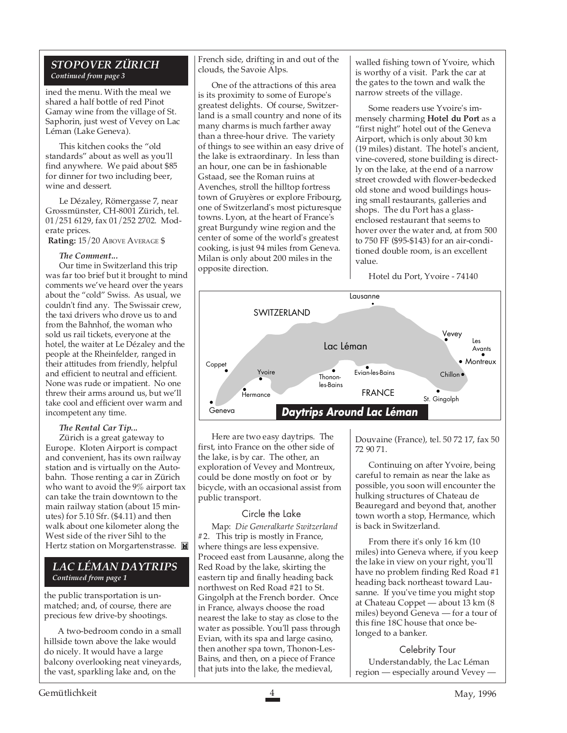#### *STOPOVER ZÜRICH Continued from page 3*

ined the menu. With the meal we shared a half bottle of red Pinot Gamay wine from the village of St. Saphorin, just west of Vevey on Lac Léman (Lake Geneva).

This kitchen cooks the "old standards" about as well as you'll find anywhere. We paid about \$85 for dinner for two including beer, wine and dessert.

Le Dézaley, Römergasse 7, near Grossmünster, CH-8001 Zürich, tel. 01/251 6129, fax 01/252 2702. Moderate prices.

 **Rating:** 15/20 ABOVE AVERAGE \$

#### *The Comment...*

Our time in Switzerland this trip was far too brief but it brought to mind comments we've heard over the years about the "cold" Swiss. As usual, we couldn't find any. The Swissair crew, the taxi drivers who drove us to and from the Bahnhof, the woman who sold us rail tickets, everyone at the hotel, the waiter at Le Dézaley and the people at the Rheinfelder, ranged in their attitudes from friendly, helpful and efficient to neutral and efficient. None was rude or impatient. No one threw their arms around us, but we'll take cool and efficient over warm and incompetent any time.

#### *The Rental Car Tip...*

Zürich is a great gateway to Europe. Kloten Airport is compact and convenient, has its own railway station and is virtually on the Autobahn. Those renting a car in Zürich who want to avoid the 9% airport tax can take the train downtown to the main railway station (about 15 minutes) for 5.10 Sfr. (\$4.11) and then walk about one kilometer along the West side of the river Sihl to the Hertz station on Morgartenstrasse.

#### *LAC LÉMAN DAYTRIPS Continued from page 1*

the public transportation is unmatched; and, of course, there are precious few drive-by shootings.

A two-bedroom condo in a small hillside town above the lake would do nicely. It would have a large balcony overlooking neat vineyards, the vast, sparkling lake and, on the

French side, drifting in and out of the clouds, the Savoie Alps.

One of the attractions of this area is its proximity to some of Europe's greatest delights. Of course, Switzerland is a small country and none of its many charms is much farther away than a three-hour drive. The variety of things to see within an easy drive of the lake is extraordinary. In less than an hour, one can be in fashionable Gstaad, see the Roman ruins at Avenches, stroll the hilltop fortress town of Gruyères or explore Fribourg, one of Switzerland's most picturesque towns. Lyon, at the heart of France's great Burgundy wine region and the center of some of the world's greatest cooking, is just 94 miles from Geneva. Milan is only about 200 miles in the opposite direction.

walled fishing town of Yvoire, which is worthy of a visit. Park the car at the gates to the town and walk the narrow streets of the village.

Some readers use Yvoire's immensely charming **Hotel du Port** as a "first night" hotel out of the Geneva Airport, which is only about 30 km (19 miles) distant. The hotel's ancient, vine-covered, stone building is directly on the lake, at the end of a narrow street crowded with flower-bedecked old stone and wood buildings housing small restaurants, galleries and shops. The du Port has a glassenclosed restaurant that seems to hover over the water and, at from 500 to 750 FF (\$95-\$143) for an air-conditioned double room, is an excellent value.

Hotel du Port, Yvoire - 74140



Here are two easy daytrips. The first, into France on the other side of the lake, is by car. The other, an exploration of Vevey and Montreux, could be done mostly on foot or by bicycle, with an occasional assist from public transport.

#### Circle the Lake

Map: *Die Generalkarte Switzerland #*2. This trip is mostly in France, where things are less expensive. Proceed east from Lausanne, along the Red Road by the lake, skirting the eastern tip and finally heading back northwest on Red Road #21 to St. Gingolph at the French border. Once in France, always choose the road nearest the lake to stay as close to the water as possible. You'll pass through Evian, with its spa and large casino, then another spa town, Thonon-Les-Bains, and then, on a piece of France that juts into the lake, the medieval,

Douvaine (France), tel. 50 72 17, fax 50 72 90 71.

Continuing on after Yvoire, being careful to remain as near the lake as possible, you soon will encounter the hulking structures of Chateau de Beauregard and beyond that, another town worth a stop, Hermance, which is back in Switzerland.

From there it's only 16 km (10 miles) into Geneva where, if you keep the lake in view on your right, you'll have no problem finding Red Road #1 heading back northeast toward Lausanne. If you've time you might stop at Chateau Coppet — about 13 km (8 miles) beyond Geneva — for a tour of this fine 18C house that once belonged to a banker.

Celebrity Tour Understandably, the Lac Léman region — especially around Vevey -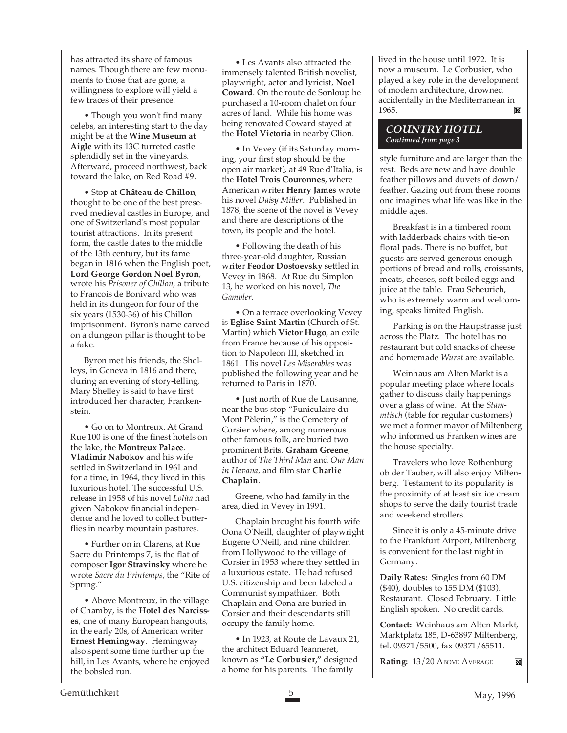has attracted its share of famous names. Though there are few monuments to those that are gone, a willingness to explore will yield a few traces of their presence.

• Though you won't find many celebs, an interesting start to the day might be at the **Wine Museum at Aigle** with its 13C turreted castle splendidly set in the vineyards. Afterward, proceed northwest, back toward the lake, on Red Road #9.

• Stop at **Château de Chillon**, thought to be one of the best preserved medieval castles in Europe, and one of Switzerland's most popular tourist attractions. In its present form, the castle dates to the middle of the 13th century, but its fame began in 1816 when the English poet, **Lord George Gordon Noel Byron**, wrote his *Prisoner of Chillon*, a tribute to Francois de Bonivard who was held in its dungeon for four of the six years (1530-36) of his Chillon imprisonment. Byron's name carved on a dungeon pillar is thought to be a fake.

Byron met his friends, the Shelleys, in Geneva in 1816 and there, during an evening of story-telling, Mary Shelley is said to have first introduced her character, Frankenstein.

• Go on to Montreux. At Grand Rue 100 is one of the finest hotels on the lake, the **Montreux Palace**. **Vladimir Nabokov** and his wife settled in Switzerland in 1961 and for a time, in 1964, they lived in this luxurious hotel. The successful U.S. release in 1958 of his novel *Lolita* had given Nabokov financial independence and he loved to collect butterflies in nearby mountain pastures.

• Further on in Clarens, at Rue Sacre du Printemps 7, is the flat of composer **Igor Stravinsky** where he wrote *Sacre du Printemps*, the "Rite of Spring."

• Above Montreux, in the village of Chamby, is the **Hotel des Narcisses**, one of many European hangouts, in the early 20s, of American writer **Ernest Hemingway**. Hemingway also spent some time further up the hill, in Les Avants, where he enjoyed the bobsled run.

• Les Avants also attracted the immensely talented British novelist, playwright, actor and lyricist, **Noel Coward**. On the route de Sonloup he purchased a 10-room chalet on four acres of land. While his home was being renovated Coward stayed at the **Hotel Victoria** in nearby Glion.

• In Vevey (if its Saturday morning, your first stop should be the open air market), at 49 Rue d'Italia, is the **Hotel Trois Couronnes**, where American writer **Henry James** wrote his novel *Daisy Miller*. Published in 1878, the scene of the novel is Vevey and there are descriptions of the town, its people and the hotel.

• Following the death of his three-year-old daughter, Russian writer **Feodor Dostoevsky** settled in Vevey in 1868. At Rue du Simplon 13, he worked on his novel, *The Gambler*.

• On a terrace overlooking Vevey is **Eglise Saint Martin** (Church of St. Martin) which **Victor Hugo**, an exile from France because of his opposition to Napoleon III, sketched in 1861. His novel *Les Miserables* was published the following year and he returned to Paris in 1870.

• Just north of Rue de Lausanne, near the bus stop "Funiculaire du Mont Pèlerin," is the Cemetery of Corsier where, among numerous other famous folk, are buried two prominent Brits, **Graham Greene**, author of *The Third Man* and *Our Man in Havana,* and film star **Charlie Chaplain**.

Greene, who had family in the area, died in Vevey in 1991.

Chaplain brought his fourth wife Oona O'Neill, daughter of playwright Eugene O'Neill, and nine children from Hollywood to the village of Corsier in 1953 where they settled in a luxurious estate. He had refused U.S. citizenship and been labeled a Communist sympathizer. Both Chaplain and Oona are buried in Corsier and their descendants still occupy the family home.

• In 1923, at Route de Lavaux 21, the architect Eduard Jeanneret, known as **"Le Corbusier,"** designed a home for his parents. The family

lived in the house until 1972. It is now a museum. Le Corbusier, who played a key role in the development of modern architecture, drowned accidentally in the Mediterranean in 1965. M

#### *COUNTRY HOTEL Continued from page 3*

style furniture and are larger than the rest. Beds are new and have double feather pillows and duvets of down/ feather. Gazing out from these rooms one imagines what life was like in the middle ages.

Breakfast is in a timbered room with ladderback chairs with tie-on floral pads. There is no buffet, but guests are served generous enough portions of bread and rolls, croissants, meats, cheeses, soft-boiled eggs and juice at the table. Frau Scheurich, who is extremely warm and welcoming, speaks limited English.

Parking is on the Haupstrasse just across the Platz. The hotel has no restaurant but cold snacks of cheese and homemade *Wurst* are available.

Weinhaus am Alten Markt is a popular meeting place where locals gather to discuss daily happenings over a glass of wine. At the *Stammtisch* (table for regular customers) we met a former mayor of Miltenberg who informed us Franken wines are the house specialty.

Travelers who love Rothenburg ob der Tauber, will also enjoy Miltenberg. Testament to its popularity is the proximity of at least six ice cream shops to serve the daily tourist trade and weekend strollers.

Since it is only a 45-minute drive to the Frankfurt Airport, Miltenberg is convenient for the last night in Germany.

**Daily Rates:** Singles from 60 DM (\$40), doubles to 155 DM (\$103). Restaurant. Closed February. Little English spoken. No credit cards.

**Contact:** Weinhaus am Alten Markt, Marktplatz 185, D-63897 Miltenberg, tel. 09371/5500, fax 09371/65511.

**Rating:** 13/20 ABOVE AVERAGE

M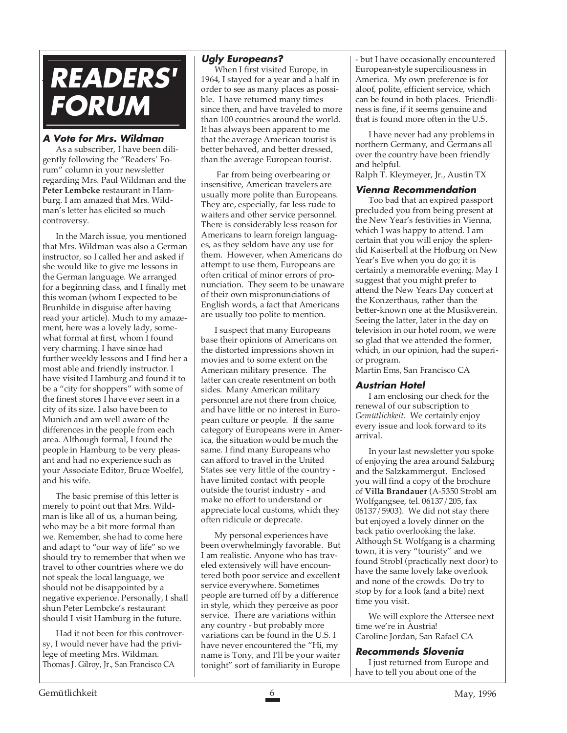

#### **A Vote for Mrs. Wildman**

As a subscriber, I have been diligently following the "Readers' Forum" column in your newsletter regarding Mrs. Paul Wildman and the **Peter Lembcke** restaurant in Hamburg. I am amazed that Mrs. Wildman's letter has elicited so much controversy.

In the March issue, you mentioned that Mrs. Wildman was also a German instructor, so I called her and asked if she would like to give me lessons in the German language. We arranged for a beginning class, and I finally met this woman (whom I expected to be Brunhilde in disguise after having read your article). Much to my amazement, here was a lovely lady, somewhat formal at first, whom I found very charming. I have since had further weekly lessons and I find her a most able and friendly instructor. I have visited Hamburg and found it to be a "city for shoppers" with some of the finest stores I have ever seen in a city of its size. I also have been to Munich and am well aware of the differences in the people from each area. Although formal, I found the people in Hamburg to be very pleasant and had no experience such as your Associate Editor, Bruce Woelfel, and his wife.

The basic premise of this letter is merely to point out that Mrs. Wildman is like all of us, a human being, who may be a bit more formal than we. Remember, she had to come here and adapt to "our way of life" so we should try to remember that when we travel to other countries where we do not speak the local language, we should not be disappointed by a negative experience. Personally, I shall shun Peter Lembcke's restaurant should I visit Hamburg in the future.

Had it not been for this controversy, I would never have had the privilege of meeting Mrs. Wildman. Thomas J. Gilroy, Jr., San Francisco CA

#### **Ugly Europeans?**

When I first visited Europe, in 1964, I stayed for a year and a half in order to see as many places as possible. I have returned many times since then, and have traveled to more than 100 countries around the world. It has always been apparent to me that the average American tourist is better behaved, and better dressed, than the average European tourist.

 Far from being overbearing or insensitive, American travelers are usually more polite than Europeans. They are, especially, far less rude to waiters and other service personnel. There is considerably less reason for Americans to learn foreign languages, as they seldom have any use for them. However, when Americans do attempt to use them, Europeans are often critical of minor errors of pronunciation. They seem to be unaware of their own mispronunciations of English words, a fact that Americans are usually too polite to mention.

I suspect that many Europeans base their opinions of Americans on the distorted impressions shown in movies and to some extent on the American military presence. The latter can create resentment on both sides. Many American military personnel are not there from choice, and have little or no interest in European culture or people. If the same category of Europeans were in America, the situation would be much the same. I find many Europeans who can afford to travel in the United States see very little of the country have limited contact with people outside the tourist industry - and make no effort to understand or appreciate local customs, which they often ridicule or deprecate.

My personal experiences have been overwhelmingly favorable. But I am realistic. Anyone who has traveled extensively will have encountered both poor service and excellent service everywhere. Sometimes people are turned off by a difference in style, which they perceive as poor service. There are variations within any country - but probably more variations can be found in the U.S. I have never encountered the "Hi, my name is Tony, and I'll be your waiter tonight" sort of familiarity in Europe

- but I have occasionally encountered European-style superciliousness in America. My own preference is for aloof, polite, efficient service, which can be found in both places. Friendliness is fine, if it seems genuine and that is found more often in the U.S.

I have never had any problems in northern Germany, and Germans all over the country have been friendly and helpful. Ralph T. Kleymeyer, Jr., Austin TX

#### **Vienna Recommendation**

Too bad that an expired passport precluded you from being present at the New Year's festivities in Vienna, which I was happy to attend. I am certain that you will enjoy the splendid Kaiserball at the Hofburg on New Year's Eve when you do go; it is certainly a memorable evening. May I suggest that you might prefer to attend the New Years Day concert at the Konzerthaus, rather than the better-known one at the Musikverein. Seeing the latter, later in the day on television in our hotel room, we were so glad that we attended the former, which, in our opinion, had the superior program.

Martin Ems, San Francisco CA

#### **Austrian Hotel**

I am enclosing our check for the renewal of our subscription to *Gemütlichkeit.* We certainly enjoy every issue and look forward to its arrival.

In your last newsletter you spoke of enjoying the area around Salzburg and the Salzkammergut. Enclosed you will find a copy of the brochure of **Villa Brandauer** (A-5350 Strobl am Wolfgangsee, tel. 06137/205, fax 06137/5903). We did not stay there but enjoyed a lovely dinner on the back patio overlooking the lake. Although St. Wolfgang is a charming town, it is very "touristy" and we found Strobl (practically next door) to have the same lovely lake overlook and none of the crowds. Do try to stop by for a look (and a bite) next time you visit.

We will explore the Attersee next time we're in Austria! Caroline Jordan, San Rafael CA

#### **Recommends Slovenia**

I just returned from Europe and have to tell you about one of the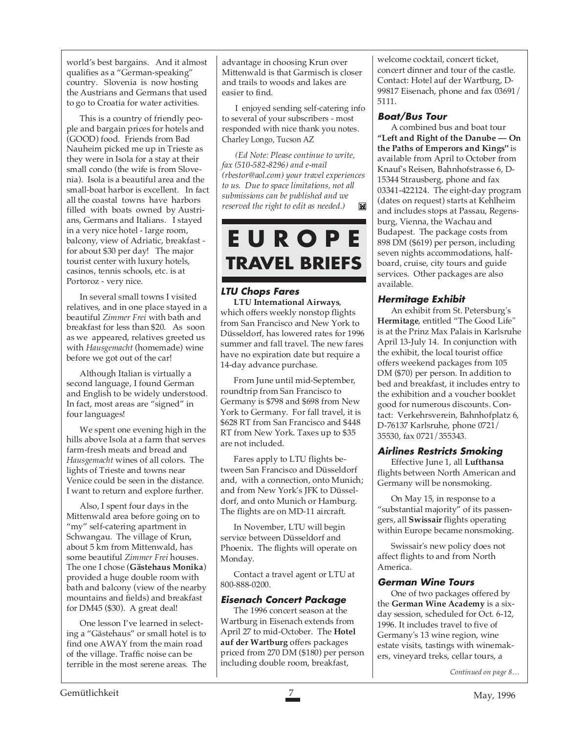world's best bargains. And it almost qualifies as a "German-speaking" country. Slovenia is now hosting the Austrians and Germans that used to go to Croatia for water activities.

This is a country of friendly people and bargain prices for hotels and (GOOD) food. Friends from Bad Nauheim picked me up in Trieste as they were in Isola for a stay at their small condo (the wife is from Slovenia). Isola is a beautiful area and the small-boat harbor is excellent. In fact all the coastal towns have harbors filled with boats owned by Austrians, Germans and Italians. I stayed in a very nice hotel - large room, balcony, view of Adriatic, breakfast for about \$30 per day! The major tourist center with luxury hotels, casinos, tennis schools, etc. is at Portoroz - very nice.

In several small towns I visited relatives, and in one place stayed in a beautiful *Zimmer Frei* with bath and breakfast for less than \$20. As soon as we appeared, relatives greeted us with *Hausgemacht* (homemade) wine before we got out of the car!

Although Italian is virtually a second language, I found German and English to be widely understood. In fact, most areas are "signed" in four languages!

We spent one evening high in the hills above Isola at a farm that serves farm-fresh meats and bread and *Hausgemacht* wines of all colors. The lights of Trieste and towns near Venice could be seen in the distance. I want to return and explore further.

Also, I spent four days in the Mittenwald area before going on to "my" self-catering apartment in Schwangau. The village of Krun, about 5 km from Mittenwald, has some beautiful *Zimmer Frei* houses. The one I chose (**Gästehaus Monika**) provided a huge double room with bath and balcony (view of the nearby mountains and fields) and breakfast for DM45 (\$30). A great deal!

One lesson I've learned in selecting a "Gästehaus" or small hotel is to find one AWAY from the main road of the village. Traffic noise can be terrible in the most serene areas. The

advantage in choosing Krun over Mittenwald is that Garmisch is closer and trails to woods and lakes are easier to find.

I enjoyed sending self-catering info to several of your subscribers - most responded with nice thank you notes. Charley Longo, Tucson AZ

*(Ed Note: Please continue to write, fax (510-582-8296) and e-mail (rbestor@aol.com) your travel experiences to us. Due to space limitations, not all submissions can be published and we reserved the right to edit as needed.)* M

## **E U R O P E TRAVEL BRIEFS**

#### **LTU Chops Fares**

**LTU International Airways**, which offers weekly nonstop flights from San Francisco and New York to Düsseldorf, has lowered rates for 1996 summer and fall travel. The new fares have no expiration date but require a 14-day advance purchase.

From June until mid-September, roundtrip from San Francisco to Germany is \$798 and \$698 from New York to Germany. For fall travel, it is \$628 RT from San Francisco and \$448 RT from New York. Taxes up to \$35 are not included.

Fares apply to LTU flights between San Francisco and Düsseldorf and, with a connection, onto Munich; and from New York's JFK to Düsseldorf, and onto Munich or Hamburg. The flights are on MD-11 aircraft.

In November, LTU will begin service between Düsseldorf and Phoenix. The flights will operate on Monday.

Contact a travel agent or LTU at 800-888-0200.

#### **Eisenach Concert Package**

The 1996 concert season at the Wartburg in Eisenach extends from April 27 to mid-October. The **Hotel auf der Wartburg** offers packages priced from 270 DM (\$180) per person including double room, breakfast,

welcome cocktail, concert ticket, concert dinner and tour of the castle. Contact: Hotel auf der Wartburg, D-99817 Eisenach, phone and fax 03691/ 5111.

#### **Boat/Bus Tour**

A combined bus and boat tour **"Left and Right of the Danube — On the Paths of Emperors and Kings"** is available from April to October from Knauf's Reisen, Bahnhofstrasse 6, D-15344 Strausberg, phone and fax 03341-422124. The eight-day program (dates on request) starts at Kehlheim and includes stops at Passau, Regensburg, Vienna, the Wachau and Budapest. The package costs from 898 DM (\$619) per person, including seven nights accommodations, halfboard, cruise, city tours and guide services. Other packages are also available.

#### **Hermitage Exhibit**

An exhibit from St. Petersburg's **Hermitage**, entitled "The Good Life" is at the Prinz Max Palais in Karlsruhe April 13-July 14. In conjunction with the exhibit, the local tourist office offers weekend packages from 105 DM (\$70) per person. In addition to bed and breakfast, it includes entry to the exhibition and a voucher booklet good for numerous discounts. Contact: Verkehrsverein, Bahnhofplatz 6, D-76137 Karlsruhe, phone 0721/ 35530, fax 0721/355343.

#### **Airlines Restricts Smoking**

Effective June 1, all **Lufthansa** flights between North American and Germany will be nonsmoking.

On May 15, in response to a "substantial majority" of its passengers, all **Swissair** flights operating within Europe became nonsmoking.

Swissair's new policy does not affect flights to and from North America.

#### **German Wine Tours**

One of two packages offered by the **German Wine Academy** is a sixday session, scheduled for Oct. 6-12, 1996. It includes travel to five of Germany's 13 wine region, wine estate visits, tastings with winemakers, vineyard treks, cellar tours, a

*Continued on page 8…*